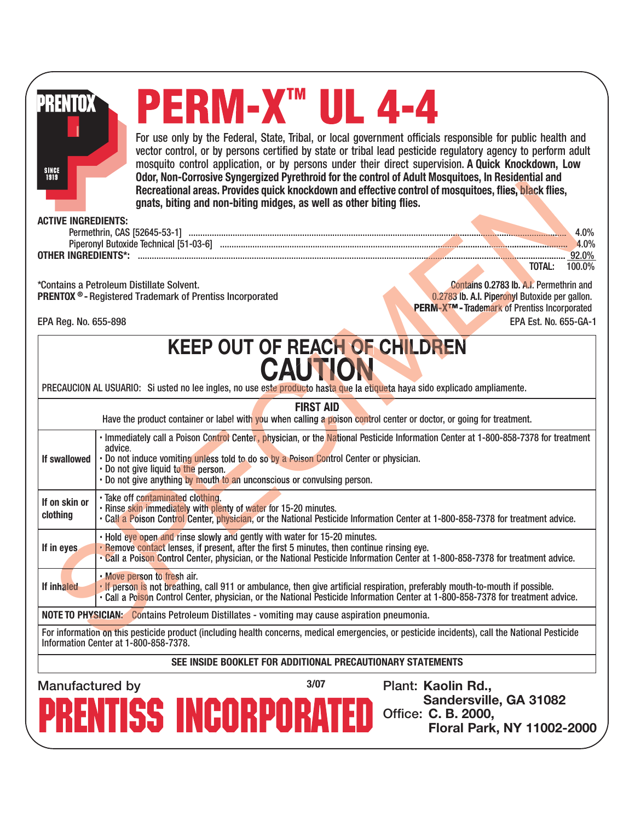| PRENTOX<br>SINCE<br>1919<br><b>ACTIVE INGREDIENTS:</b> |                                                                                                                                                                                                                                                                                                                                                                                                                                                                                    | PERM-X™ UL 4-4<br>gnats, biting and non-biting midges, as well as other biting flies.                                                                                   | For use only by the Federal, State, Tribal, or local government officials responsible for public health and<br>vector control, or by persons certified by state or tribal lead pesticide regulatory agency to perform adult<br>mosquito control application, or by persons under their direct supervision. A Quick Knockdown, Low<br>Odor, Non-Corrosive Syngergized Pyrethroid for the control of Adult Mosquitoes, In Residential and<br>Recreational areas. Provides quick knockdown and effective control of mosquitoes, flies, black flies, |  |  |  |
|--------------------------------------------------------|------------------------------------------------------------------------------------------------------------------------------------------------------------------------------------------------------------------------------------------------------------------------------------------------------------------------------------------------------------------------------------------------------------------------------------------------------------------------------------|-------------------------------------------------------------------------------------------------------------------------------------------------------------------------|--------------------------------------------------------------------------------------------------------------------------------------------------------------------------------------------------------------------------------------------------------------------------------------------------------------------------------------------------------------------------------------------------------------------------------------------------------------------------------------------------------------------------------------------------|--|--|--|
|                                                        |                                                                                                                                                                                                                                                                                                                                                                                                                                                                                    |                                                                                                                                                                         | 4.0%                                                                                                                                                                                                                                                                                                                                                                                                                                                                                                                                             |  |  |  |
|                                                        |                                                                                                                                                                                                                                                                                                                                                                                                                                                                                    |                                                                                                                                                                         | 4.0%                                                                                                                                                                                                                                                                                                                                                                                                                                                                                                                                             |  |  |  |
|                                                        |                                                                                                                                                                                                                                                                                                                                                                                                                                                                                    |                                                                                                                                                                         | TOTAL:<br>100.0%                                                                                                                                                                                                                                                                                                                                                                                                                                                                                                                                 |  |  |  |
|                                                        | *Contains a Petroleum Distillate Solvent.<br><b>PRENTOX ®-Registered Trademark of Prentiss Incorporated</b>                                                                                                                                                                                                                                                                                                                                                                        |                                                                                                                                                                         | <b>Contains 0.2783 lb. A.I. Permethrin and</b><br>0.2783 lb. A.I. Piperonyl Butoxide per gallon.<br>PERM-X <sup>TM</sup> - Trademark of Prentiss Incorporated                                                                                                                                                                                                                                                                                                                                                                                    |  |  |  |
| EPA Reg. No. 655-898                                   |                                                                                                                                                                                                                                                                                                                                                                                                                                                                                    |                                                                                                                                                                         | EPA Est. No. 655-GA-1                                                                                                                                                                                                                                                                                                                                                                                                                                                                                                                            |  |  |  |
|                                                        |                                                                                                                                                                                                                                                                                                                                                                                                                                                                                    | <b>FIRST AID</b>                                                                                                                                                        | PRECAUCION AL USUARIO: Si usted no lee ingles, no use este producto hasta que la etiqueta haya sido explicado ampliamente.                                                                                                                                                                                                                                                                                                                                                                                                                       |  |  |  |
| If swallowed                                           | Have the product container or label with you when calling a poison control center or doctor, or going for treatment.<br>· Immediately call a Poison Control Center, physician, or the National Pesticide Information Center at 1-800-858-7378 for treatment<br>advice.<br>. Do not induce vomiting unless told to do so by a Poison Control Center or physician.<br>. Do not give liquid to the person.<br>. Do not give anything by mouth to an unconscious or convulsing person. |                                                                                                                                                                         |                                                                                                                                                                                                                                                                                                                                                                                                                                                                                                                                                  |  |  |  |
| If on skin or<br>clothing                              | · Take off contaminated clothing.<br>. Rinse skin immediately with plenty of water for 15-20 minutes.                                                                                                                                                                                                                                                                                                                                                                              |                                                                                                                                                                         | . Call a Poison Control Center, physician, or the National Pesticide Information Center at 1-800-858-7378 for treatment advice.                                                                                                                                                                                                                                                                                                                                                                                                                  |  |  |  |
| If in eyes                                             |                                                                                                                                                                                                                                                                                                                                                                                                                                                                                    | . Hold eye open and rinse slowly and gently with water for 15-20 minutes.<br>. Remove contact lenses, if present, after the first 5 minutes, then continue rinsing eye. | . Call a Poison Control Center, physician, or the National Pesticide Information Center at 1-800-858-7378 for treatment advice.                                                                                                                                                                                                                                                                                                                                                                                                                  |  |  |  |
| If inhaled                                             | . Move person to fresh air.                                                                                                                                                                                                                                                                                                                                                                                                                                                        |                                                                                                                                                                         | . If person is not breathing, call 911 or ambulance, then give artificial respiration, preferably mouth-to-mouth if possible.<br>. Call a Poison Control Center, physician, or the National Pesticide Information Center at 1-800-858-7378 for treatment advice.                                                                                                                                                                                                                                                                                 |  |  |  |
|                                                        |                                                                                                                                                                                                                                                                                                                                                                                                                                                                                    | <b>NOTE TO PHYSICIAN:</b> Contains Petroleum Distillates - vomiting may cause aspiration pneumonia.                                                                     |                                                                                                                                                                                                                                                                                                                                                                                                                                                                                                                                                  |  |  |  |
|                                                        | Information Center at 1-800-858-7378.                                                                                                                                                                                                                                                                                                                                                                                                                                              |                                                                                                                                                                         | For information on this pesticide product (including health concerns, medical emergencies, or pesticide incidents), call the National Pesticide                                                                                                                                                                                                                                                                                                                                                                                                  |  |  |  |
|                                                        |                                                                                                                                                                                                                                                                                                                                                                                                                                                                                    | SEE INSIDE BOOKLET FOR ADDITIONAL PRECAUTIONARY STATEMENTS                                                                                                              |                                                                                                                                                                                                                                                                                                                                                                                                                                                                                                                                                  |  |  |  |
| Manufactured by                                        |                                                                                                                                                                                                                                                                                                                                                                                                                                                                                    | 3/07                                                                                                                                                                    | Plant: Kaolin Rd.,                                                                                                                                                                                                                                                                                                                                                                                                                                                                                                                               |  |  |  |
|                                                        | <b>PRENTISS INCORPORA</b>                                                                                                                                                                                                                                                                                                                                                                                                                                                          |                                                                                                                                                                         | Sandersville, GA 31082<br>Office: C. B. 2000,<br>Floral Park, NY 11002-2000                                                                                                                                                                                                                                                                                                                                                                                                                                                                      |  |  |  |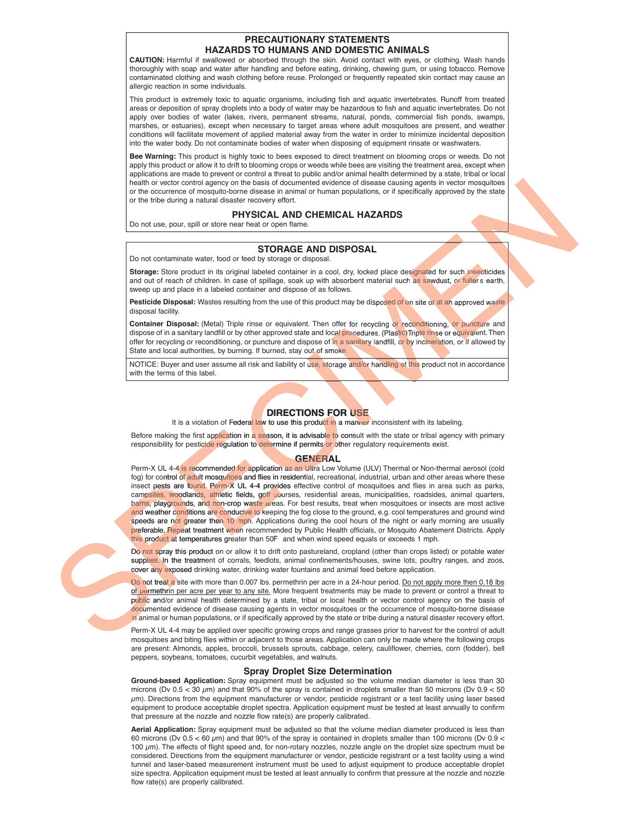### **PRECAUTIONARY STATEMENTS HAZARDS TO HUMANS AND DOMESTIC ANIMALS**

**CAUTION:** Harmful if swallowed or absorbed through the skin. Avoid contact with eyes, or clothing. Wash hands thoroughly with soap and water after handling and before eating, drinking, chewing gum, or using tobacco. Remove contaminated clothing and wash clothing before reuse. Prolonged or frequently repeated skin contact may cause an allergic reaction in some individuals.

This product is extremely toxic to aquatic organisms, including fish and aquatic invertebrates. Runoff from treated areas or deposition of spray droplets into a body of water may be hazardous to fish and aquatic invertebrates. Do not apply over bodies of water (lakes, rivers, permanent streams, natural, ponds, commercial fish ponds, swamps, marshes, or estuaries), except when necessary to target areas where adult mosquitoes are present, and weather conditions will facilitate movement of applied material away from the water in order to minimize incidental deposition into the water body. Do not contaminate bodies of water when disposing of equipment rinsate or washwaters.

**Bee Warning:** This product is highly toxic to bees exposed to direct treatment on blooming crops or weeds. Do not apply this product or allow it to drift to blooming crops or weeds while bees are visiting the treatment area, except when applications are made to prevent or control a threat to public and/or animal health determined by a state, tribal or local health or vector control agency on the basis of documented evidence of disease causing agents in vector mosquitoes or the occurrence of mosquito-borne disease in animal or human populations, or if specifically approved by the state or the tribe during a natural disaster recovery effort.

### **PHYSICAL AND CHEMICAL HAZARDS**

Do not use, pour, spill or store near heat or open flame.

### **STORAGE AND DISPOSAL**

Do not contaminate water, food or feed by storage or disposal.

**Storage:** Store product in its original labeled container in a cool, dry, locked place designated for such insecticides and out of reach of children. In case of spillage, soak up with absorbent material such as sawdust, or fuller's earth, sweep up and place in a labeled container and dispose of as follows.

**Pesticide Disposal:** Wastes resulting from the use of this product may be disposed of on site or at an approved waste disposal facility.

**Container Disposal:** (Metal) Triple rinse or equivalent. Then offer for recycling or reconditioning, or puncture and dispose of in a sanitary landfill or by other approved state and local procedures. (Plastic)Triple rinse or equivalent. Then offer for recycling or reconditioning, or puncture and dispose of in a sanitary landfill, or by incineration, or if allowed by State and local authorities, by burning. If burned, stay out of smoke.

NOTICE: Buyer and user assume all risk and liability of use, storage and/or handling of this product not in accordance<br>with the terms of this label.



It is a violation of Federal law to use this product in a manner inconsistent with its labeling.

Before making the first ap<mark>plication in a season, it is advisable to</mark> consult with the state or tribal agency with primary responsibility for pesticide regulation to determine if permits or other regulatory requirements exist.

#### **GENERAL**

Perm-X UL 4-4 is recommended for application as an Ultra Low Volume (ULV) Thermal or Non-thermal aerosol (cold fog) for control of adult mosquitoes and flies in residential, recreational, industrial, urban and other areas where these insect pests are found. Perm-X UL 4-4 provides effective control of mosquitoes and flies in area such as parks, campsites, woodlands, athletic fields, golf courses, residential areas, municipalities, roadsides, animal quarters, barns, playgrounds, and non-crop waste areas. For best results, treat when mosquitoes or insects are most active and weather c<mark>ond</mark>itions are conducive to keeping the fog close to the ground, e.g. cool temperatures and ground wind speeds are not greater then 10 mph. Applications during the cool hours of the night or early morning are usually preferable. Repeat treatment when recommended by Public Health officials, or Mosquito Abatement Districts. Apply this product at temperatures greater than 50F and when wind speed equals or exceeds 1 mph. While a vector counter the results of the results of the results of the results of the results of the results of the results of the results of the results of the results of the results of the results of the results of the

Do not spray this product on or allow it to drift onto pastureland, cropland (other than crops listed) or potable water suppli<mark>es. I</mark>n the treatment of corrals, feedlots, animal confinements/houses, swine lots, poultry ranges, and zoos, cover any exposed drinking water, drinking water fountains and animal feed before application.

Do not treat a site with more than 0.007 lbs. permethrin per acre in a 24-hour period. <u>Do not apply more then 0.18 lbs</u> of permethrin per acre per year to any site. More frequent treatments may be made to prevent or control a threat to p<mark>ubli</mark>c and/or animal health determined by a state, tribal or local health or vector control agency on the basis of documented evidence of disease causing agents in vector mosquitoes or the occurrence of mosquito-borne disease in animal or human populations, or if specifically approved by the state or tribe during a natural disaster recovery effort.

Perm-X UL 4-4 may be applied over specific growing crops and range grasses prior to harvest for the control of adult mosquitoes and biting flies within or adjacent to those areas. Application can only be made where the following crops are present: Almonds, apples, broccoli, brussels sprouts, cabbage, celery, cauliflower, cherries, corn (fodder), bell peppers, soybeans, tomatoes, cucurbit vegetables, and walnuts.

### **Spray Droplet Size Determination**

**Ground-based Application:** Spray equipment must be adjusted so the volume median diameter is less than 30 microns (Dv  $0.5 < 30 \mu m$ ) and that 90% of the spray is contained in droplets smaller than 50 microns (Dv  $0.9 < 50$ )  $\mu$ m). Directions from the equipment manufacturer or vendor, pesticide registrant or a test facility using laser based equipment to produce acceptable droplet spectra. Application equipment must be tested at least annually to confirm that pressure at the nozzle and nozzle flow rate(s) are properly calibrated.

**Aerial Application:** Spray equipment must be adjusted so that the volume median diameter produced is less than 60 microns (Dv  $0.5 < 60 \mu m$ ) and that 90% of the spray is contained in droplets smaller than 100 microns (Dv  $0.9 <$ 100 µm). The effects of flight speed and, for non-rotary nozzles, nozzle angle on the droplet size spectrum must be considered. Directions from the equipment manufacturer or vendor, pesticide registrant or a test facility using a wind tunnel and laser-based measurement instrument must be used to adjust equipment to produce acceptable droplet size spectra. Application equipment must be tested at least annually to confirm that pressure at the nozzle and nozzle flow rate(s) are properly calibrated.